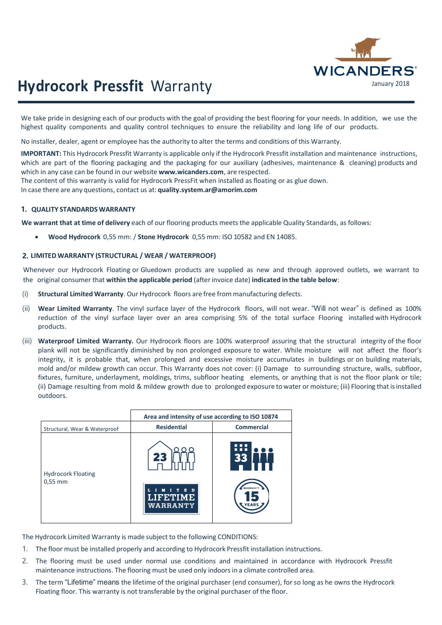

# January 2018 **Hydrocork Pressfit** Warranty

We take pride in designing each of our products with the goal of providing the best flooring for your needs. In addition, we use the highest quality components and quality control techniques to ensure the reliability and long life of our products.

No installer, dealer, agent or employee has the authority to alter the terms and conditions of this Warranty.

**IMPORTANT:** This Hydrocork Pressfit Warranty is applicable only if the Hydrocork Pressfit installation and maintenance instructions, which are part of the flooring packaging and the packaging for our auxiliary (adhesives, maintenance & cleaning) products and which in any case can be found in our website **[www.wicanders.com](http://www.wicanders.com/)**, are respected.

The content of this warranty is valid for Hydrocork PressFit when installed as floating or as glue down.

In case there are any questions, contact us at: **[quality.system.ar@amorim.com](mailto:quality.system.ar@amorim.com)**

### **1. QUALITY STANDARDS WARRANTY**

**We warrant that at time of delivery** each of our flooring products meets the applicable Quality Standards, as follows:

• **Wood Hydrocork** 0,55 mm: / **Stone Hydrocork** 0,55 mm: ISO 10582 and EN 14085.

### **2. LIMITED WARRANTY (STRUCTURAL / WEAR / WATERPROOF)**

Whenever our Hydrocork Floating or Gluedown products are supplied as new and through approved outlets, we warrant to the original consumer that **within the applicable period** (after invoice date) **indicated in the table below**:

- (i) **Structural Limited Warranty**. Our Hydrocork floors are free from manufacturing defects.
- (ii) **Wear Limited Warranty**. The vinyl surface layer of the Hydrocork floors, will not wear. "Will not wear" is defined as 100% reduction of the vinyl surface layer over an area comprising 5% of the total surface Flooring installed with Hydrocork products.
- (iii) **Waterproof Limited Warranty.** Our Hydrocork floors are 100% waterproof assuring that the structural integrity of the floor plank will not be significantly diminished by non prolonged exposure to water. While moisture will not affect the floor's integrity, it is probable that, when prolonged and excessive moisture accumulates in buildings or on building materials, mold and/or mildew growth can occur. This Warranty does not cover: (i) Damage to surrounding structure, walls, subfloor, fixtures, furniture, underlayment, moldings, trims, subfloor heating elements, or anything that is not the floor plank or tile; (ii) Damage resulting from mold & mildew growth due to prolonged exposure to water or moisture; (iii) Flooring that isinstalled outdoors.

|                                        | Area and intensity of use according to ISO 10874 |                          |
|----------------------------------------|--------------------------------------------------|--------------------------|
| Structural, Wear & Waterproof          | <b>Residential</b>                               | <b>Commercial</b>        |
| <b>Hydrocork Floating</b><br>$0,55$ mm | 23                                               | П<br>n n n<br>33         |
|                                        | $\mathbf{D}$<br>E<br><b>LIFETIME</b><br>WARRANTY | WARRANTY<br><b>YEARS</b> |

The Hydrocork Limited Warranty is made subject to the following CONDITIONS:

- 1. The floor must be installed properly and according to Hydrocork Pressfit installation instructions.
- 2. The flooring must be used under normal use conditions and maintained in accordance with Hydrocork Pressfit maintenance instructions. The flooring must be used only indoors in a climate controlled area.
- 3. The term "Lifetime" means the lifetime of the original purchaser (end consumer), for so long as he owns the Hydrocork Floating floor. This warranty is not transferable by the original purchaser of the floor.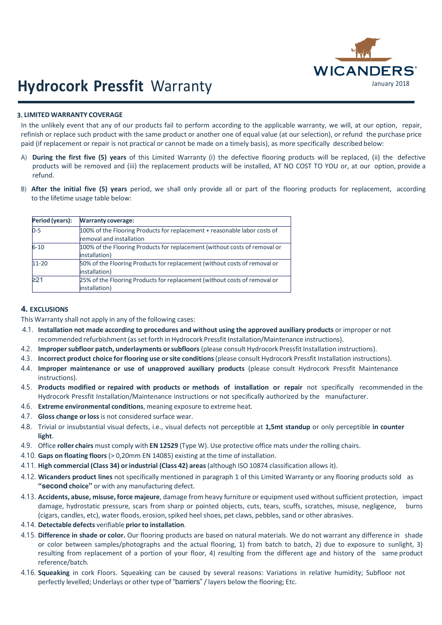

# January 2018 **Hydrocork Pressfit** Warranty

### **3. LIMITED WARRANTY COVERAGE**

In the unlikely event that any of our products fail to perform according to the applicable warranty, we will, at our option, repair, refinish or replace such product with the same product or another one of equal value (at our selection), or refund the purchase price paid (if replacement or repair is not practical or cannot be made on a timely basis), as more specifically described below:

- A) **During the first five (5) years** of this Limited Warranty (i) the defective flooring products will be replaced, (ii) the defective products will be removed and (iii) the replacement products will be installed, AT NO COST TO YOU or, at our option, provide a refund.
- B) **After the initial five (5) years** period, we shall only provide all or part of the flooring products for replacement, according to the lifetime usage table below:

| Period (years): | <b>Warranty coverage:</b>                                                                             |
|-----------------|-------------------------------------------------------------------------------------------------------|
| $0-5$           | 100% of the Flooring Products for replacement + reasonable labor costs of<br>removal and installation |
| $6 - 10$        | 100% of the Flooring Products for replacement (without costs of removal or<br>installation)           |
| 11-20           | 50% of the Flooring Products for replacement (without costs of removal or<br>installation)            |
| $\geq$ 21       | 25% of the Flooring Products for replacement (without costs of removal or<br>installation)            |

## **4. EXCLUSIONS**

This Warranty shall not apply in any of the following cases:

- 4.1. **Installation not made according to procedures and without using the approved auxiliary products** or improper or not recommended refurbishment (asset forth in Hydrocork Pressfit Installation/Maintenance instructions).
- 4.2. **Impropersubfloor patch, underlayments orsubfloors** (please consult Hydrocork Pressfit Installation instructions).
- 4.3. **Incorrect product choice forflooring use orsite conditions**(please consult Hydrocork Pressfit Installation instructions).
- 4.4. **Improper maintenance or use of unapproved auxiliary products** (please consult Hydrocork Pressfit Maintenance instructions).
- 4.5. **Products modified or repaired with products or methods of installation or repair** not specifically recommended in the Hydrocork Pressfit Installation/Maintenance instructions or not specifically authorized by the manufacturer.
- 4.6. **Extreme environmental conditions**, meaning exposure to extreme heat.
- 4.7. **Gloss change orloss** is not considered surface wear.
- 4.8. Trivial or insubstantial visual defects, i.e., visual defects not perceptible at **1,5mt standup** or only perceptible **in counter light**.
- 4.9. Office **roller chairs** must comply with **EN 12529** (Type W). Use protective office mats under the rolling chairs.
- 4.10. **Gaps on floating floors** (> 0,20mm EN 14085) existing at the time of installation.
- 4.11. **High commercial (Class 34) orindustrial (Class 42) areas** (although ISO 10874 classification allows it).
- 4.12. **Wicanders product lines** not specifically mentioned in paragraph 1 of this Limited Warranty or any flooring products sold as "second **choice**" or with any manufacturing defect.
- 4.13. **Accidents, abuse, misuse, force majeure**, damage from heavy furniture or equipment used withoutsufficient protection, impact damage, hydrostatic pressure, scars from sharp or pointed objects, cuts, tears, scuffs, scratches, misuse, negligence, burns (cigars, candles, etc), water floods, erosion, spiked heel shoes, pet claws, pebbles, sand or other abrasives.
- 4.14. **Detectable defects** verifiable **priorto installation**.
- 4.15. **Difference in shade or color.** Our flooring products are based on natural materials. We do not warrant any difference in shade or color between samples/photographs and the actual flooring, 1) from batch to batch, 2) due to exposure to sunlight, 3) resulting from replacement of a portion of your floor, 4) resulting from the different age and history of the same product reference/batch.
- 4.16. **Squeaking** in cork Floors. Squeaking can be caused by several reasons: Variations in relative humidity; Subfloor not perfectly levelled; Underlays or other type of "barriers" / layers below the flooring: Etc.